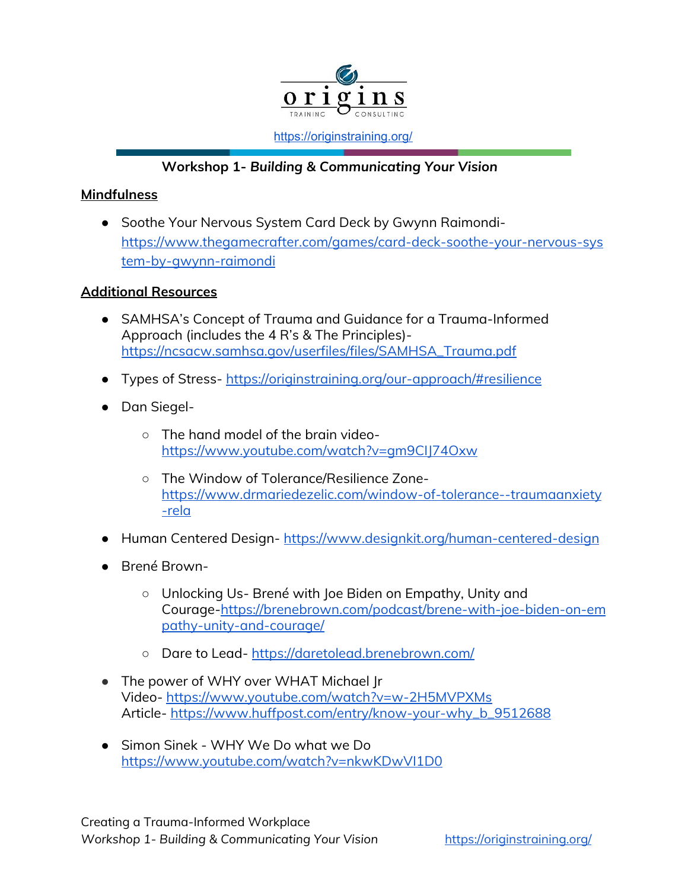

<https://originstraining.org/>

## **Workshop 1-** *Building & Communicating Your Vision*

## **Mindfulness**

**●** Soothe Your Nervous System Card Deck by Gwynn Raimondi[https://www.thegamecrafter.com/games/card-deck-soothe-your-nervous-sys](https://www.thegamecrafter.com/games/card-deck-soothe-your-nervous-system-by-gwynn-raimondi) [tem-by-gwynn-raimondi](https://www.thegamecrafter.com/games/card-deck-soothe-your-nervous-system-by-gwynn-raimondi)

## **Additional Resources**

- SAMHSA's Concept of Trauma and Guidance for a Trauma-Informed Approach (includes the 4 R's & The Principles) [https://ncsacw.samhsa.gov/userfiles/files/SAMHSA\\_Trauma.pdf](https://ncsacw.samhsa.gov/userfiles/files/SAMHSA_Trauma.pdf)
- Types of Stress- <https://originstraining.org/our-approach/#resilience>
- Dan Siegel-
	- The hand model of the brain video<https://www.youtube.com/watch?v=gm9CIJ74Oxw>
	- The Window of Tolerance/Resilience Zone[https://www.drmariedezelic.com/window-of-tolerance--traumaanxiety](https://www.drmariedezelic.com/window-of-tolerance--traumaanxiety-rela) [-rela](https://www.drmariedezelic.com/window-of-tolerance--traumaanxiety-rela)
- Human Centered Design- <https://www.designkit.org/human-centered-design>
- Brené Brown-
	- Unlocking Us- Brené with Joe Biden on Empathy, Unity and Courage[-https://brenebrown.com/podcast/brene-with-joe-biden-on-em](https://brenebrown.com/podcast/brene-with-joe-biden-on-empathy-unity-and-courage/) [pathy-unity-and-courage/](https://brenebrown.com/podcast/brene-with-joe-biden-on-empathy-unity-and-courage/)
	- Dare to Lead- <https://daretolead.brenebrown.com/>
- The power of WHY over WHAT Michael Ir Video- <https://www.youtube.com/watch?v=w-2H5MVPXMs> Article- [https://www.huffpost.com/entry/know-your-why\\_b\\_9512688](https://www.huffpost.com/entry/know-your-why_b_9512688)
- **●** Simon Sinek WHY We Do what we Do <https://www.youtube.com/watch?v=nkwKDwVI1D0>